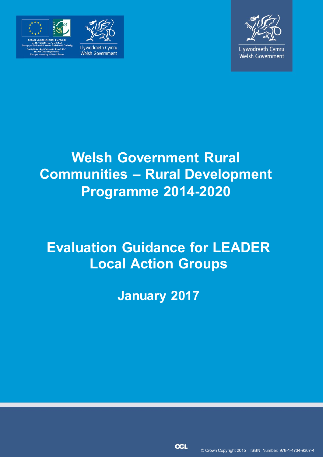





**Llywodraeth Cymru** Welsh Government

# **Welsh Government Rural Communities – Rural Development Programme 2014-2020**

# **Evaluation Guidance for LEADER Local Action Groups**

**January 2017**

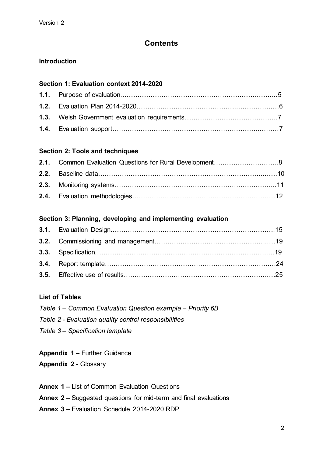# **Contents**

# **Introduction**

# **Section 1: Evaluation context 2014-2020**

# **Section 2: Tools and techniques**

# **Section 3: Planning, developing and implementing evaluation**

# **List of Tables**

- *Table 1 – Common Evaluation Question example – Priority 6B*
- *Table 2 - Evaluation quality control responsibilities*
- *Table 3 – Specification template*
- **Appendix 1 –** Further Guidance
- **Appendix 2 -** Glossary
- **Annex 1 –** List of Common Evaluation Questions
- **Annex 2 –** Suggested questions for mid-term and final evaluations
- **Annex 3 –** Evaluation Schedule 2014-2020 RDP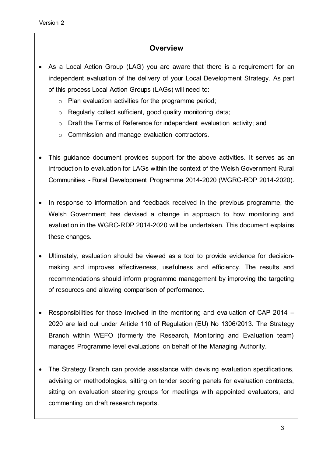# **Overview**

- As a Local Action Group (LAG) you are aware that there is a requirement for an independent evaluation of the delivery of your Local Development Strategy. As part of this process Local Action Groups (LAGs) will need to:
	- o Plan evaluation activities for the programme period;
	- o Regularly collect sufficient, good quality monitoring data;
	- o Draft the Terms of Reference for independent evaluation activity; and
	- o Commission and manage evaluation contractors.
- This guidance document provides support for the above activities. It serves as an introduction to evaluation for LAGs within the context of the Welsh Government Rural Communities - Rural Development Programme 2014-2020 (WGRC-RDP 2014-2020).
- In response to information and feedback received in the previous programme, the Welsh Government has devised a change in approach to how monitoring and evaluation in the WGRC-RDP 2014-2020 will be undertaken. This document explains these changes.
- Ultimately, evaluation should be viewed as a tool to provide evidence for decisionmaking and improves effectiveness, usefulness and efficiency. The results and recommendations should inform programme management by improving the targeting of resources and allowing comparison of performance.
- Responsibilities for those involved in the monitoring and evaluation of CAP 2014 2020 are laid out under Article 110 of Regulation (EU) No 1306/2013. The Strategy Branch within WEFO (formerly the Research, Monitoring and Evaluation team) manages Programme level evaluations on behalf of the Managing Authority.
- The Strategy Branch can provide assistance with devising evaluation specifications, advising on methodologies, sitting on tender scoring panels for evaluation contracts, sitting on evaluation steering groups for meetings with appointed evaluators, and commenting on draft research reports.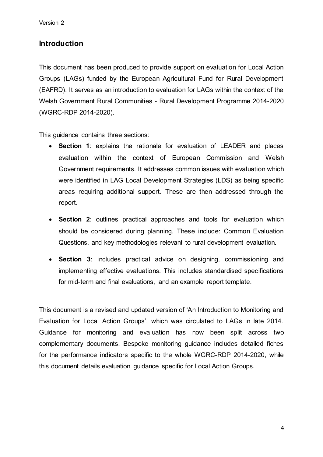# **Introduction**

This document has been produced to provide support on evaluation for Local Action Groups (LAGs) funded by the European Agricultural Fund for Rural Development (EAFRD). It serves as an introduction to evaluation for LAGs within the context of the Welsh Government Rural Communities - Rural Development Programme 2014-2020 (WGRC-RDP 2014-2020).

This guidance contains three sections:

- **Section 1**: explains the rationale for evaluation of LEADER and places evaluation within the context of European Commission and Welsh Government requirements. It addresses common issues with evaluation which were identified in LAG Local Development Strategies (LDS) as being specific areas requiring additional support. These are then addressed through the report.
- **Section 2**: outlines practical approaches and tools for evaluation which should be considered during planning. These include: Common Evaluation Questions, and key methodologies relevant to rural development evaluation.
- **Section 3**: includes practical advice on designing, commissioning and implementing effective evaluations. This includes standardised specifications for mid-term and final evaluations, and an example report template.

This document is a revised and updated version of 'An Introduction to Monitoring and Evaluation for Local Action Groups', which was circulated to LAGs in late 2014. Guidance for monitoring and evaluation has now been split across two complementary documents. Bespoke monitoring guidance includes detailed fiches for the performance indicators specific to the whole WGRC-RDP 2014-2020, while this document details evaluation guidance specific for Local Action Groups.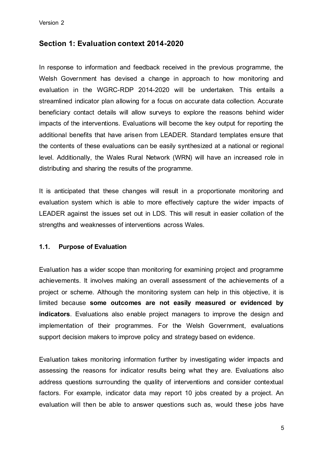# **Section 1: Evaluation context 2014-2020**

In response to information and feedback received in the previous programme, the Welsh Government has devised a change in approach to how monitoring and evaluation in the WGRC-RDP 2014-2020 will be undertaken. This entails a streamlined indicator plan allowing for a focus on accurate data collection. Accurate beneficiary contact details will allow surveys to explore the reasons behind wider impacts of the interventions. Evaluations will become the key output for reporting the additional benefits that have arisen from LEADER. Standard templates ensure that the contents of these evaluations can be easily synthesized at a national or regional level. Additionally, the Wales Rural Network (WRN) will have an increased role in distributing and sharing the results of the programme.

It is anticipated that these changes will result in a proportionate monitoring and evaluation system which is able to more effectively capture the wider impacts of LEADER against the issues set out in LDS. This will result in easier collation of the strengths and weaknesses of interventions across Wales.

#### **1.1. Purpose of Evaluation**

Evaluation has a wider scope than monitoring for examining project and programme achievements. It involves making an overall assessment of the achievements of a project or scheme. Although the monitoring system can help in this objective, it is limited because **some outcomes are not easily measured or evidenced by indicators**. Evaluations also enable project managers to improve the design and implementation of their programmes. For the Welsh Government, evaluations support decision makers to improve policy and strategy based on evidence.

Evaluation takes monitoring information further by investigating wider impacts and assessing the reasons for indicator results being what they are. Evaluations also address questions surrounding the quality of interventions and consider contextual factors. For example, indicator data may report 10 jobs created by a project. An evaluation will then be able to answer questions such as, would these jobs have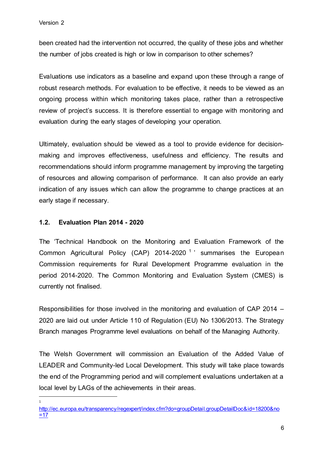been created had the intervention not occurred, the quality of these jobs and whether the number of jobs created is high or low in comparison to other schemes?

Evaluations use indicators as a baseline and expand upon these through a range of robust research methods. For evaluation to be effective, it needs to be viewed as an ongoing process within which monitoring takes place, rather than a retrospective review of project's success. It is therefore essential to engage with monitoring and evaluation during the early stages of developing your operation.

Ultimately, evaluation should be viewed as a tool to provide evidence for decisionmaking and improves effectiveness, usefulness and efficiency. The results and recommendations should inform programme management by improving the targeting of resources and allowing comparison of performance. It can also provide an early indication of any issues which can allow the programme to change practices at an early stage if necessary.

# **1.2. Evaluation Plan 2014 - 2020**

The 'Technical Handbook on the Monitoring and Evaluation Framework of the Common Agricultural Policy (CAP) 2014-2020<sup>1</sup> summarises the European Commission requirements for Rural Development Programme evaluation in the period 2014-2020. The Common Monitoring and Evaluation System (CMES) is currently not finalised.

Responsibilities for those involved in the monitoring and evaluation of CAP 2014 – 2020 are laid out under Article 110 of Regulation (EU) No 1306/2013. The Strategy Branch manages Programme level evaluations on behalf of the Managing Authority.

The Welsh Government will commission an Evaluation of the Added Value of LEADER and Community-led Local Development. This study will take place towards the end of the Programming period and will complement evaluations undertaken at a local level by LAGs of the achievements in their areas.

 $\overline{\phantom{a}}$ 1

[http://ec.europa.eu/transparency/regexpert/index.cfm?do=groupDetail.groupDetailDoc&id=18200&no](http://ec.europa.eu/transparency/regexpert/index.cfm?do=groupDetail.groupDetailDoc&id=18200&no=17)  $=17$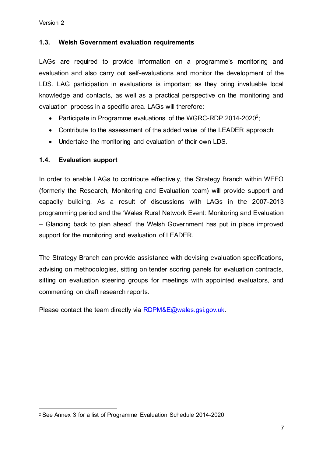# **1.3. Welsh Government evaluation requirements**

LAGs are required to provide information on a programme's monitoring and evaluation and also carry out self-evaluations and monitor the development of the LDS. LAG participation in evaluations is important as they bring invaluable local knowledge and contacts, as well as a practical perspective on the monitoring and evaluation process in a specific area. LAGs will therefore:

- Participate in Programme evaluations of the WGRC-RDP 2014-2020<sup>2</sup>;
- Contribute to the assessment of the added value of the LEADER approach;
- Undertake the monitoring and evaluation of their own LDS.

# **1.4. Evaluation support**

In order to enable LAGs to contribute effectively, the Strategy Branch within WEFO (formerly the Research, Monitoring and Evaluation team) will provide support and capacity building. As a result of discussions with LAGs in the 2007-2013 programming period and the 'Wales Rural Network Event: Monitoring and Evaluation – Glancing back to plan ahead' the Welsh Government has put in place improved support for the monitoring and evaluation of LEADER.

The Strategy Branch can provide assistance with devising evaluation specifications, advising on methodologies, sitting on tender scoring panels for evaluation contracts, sitting on evaluation steering groups for meetings with appointed evaluators, and commenting on draft research reports.

Please contact the team directly via RDPM&E@wales.gsi.gov.uk.

 $\overline{\phantom{a}}$ <sup>2</sup> See Annex 3 for a list of Programme Evaluation Schedule 2014-2020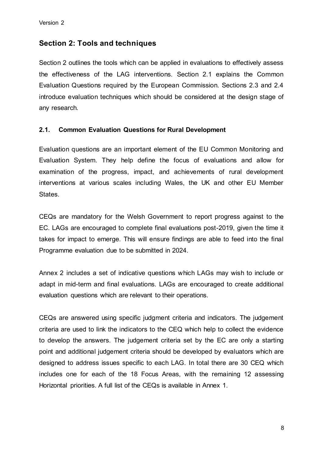# **Section 2: Tools and techniques**

Section 2 outlines the tools which can be applied in evaluations to effectively assess the effectiveness of the LAG interventions. Section 2.1 explains the Common Evaluation Questions required by the European Commission. Sections 2.3 and 2.4 introduce evaluation techniques which should be considered at the design stage of any research.

# **2.1. Common Evaluation Questions for Rural Development**

Evaluation questions are an important element of the EU Common Monitoring and Evaluation System. They help define the focus of evaluations and allow for examination of the progress, impact, and achievements of rural development interventions at various scales including Wales, the UK and other EU Member States.

CEQs are mandatory for the Welsh Government to report progress against to the EC. LAGs are encouraged to complete final evaluations post-2019, given the time it takes for impact to emerge. This will ensure findings are able to feed into the final Programme evaluation due to be submitted in 2024.

Annex 2 includes a set of indicative questions which LAGs may wish to include or adapt in mid-term and final evaluations. LAGs are encouraged to create additional evaluation questions which are relevant to their operations.

CEQs are answered using specific judgment criteria and indicators. The judgement criteria are used to link the indicators to the CEQ which help to collect the evidence to develop the answers. The judgement criteria set by the EC are only a starting point and additional judgement criteria should be developed by evaluators which are designed to address issues specific to each LAG. In total there are 30 CEQ which includes one for each of the 18 Focus Areas, with the remaining 12 assessing Horizontal priorities. A full list of the CEQs is available in Annex 1.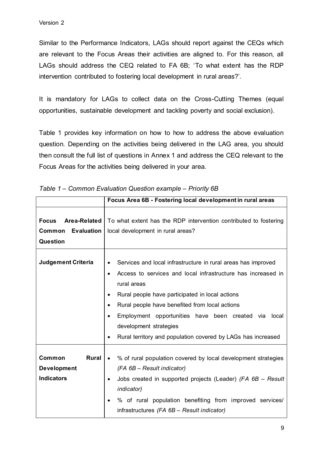Similar to the Performance Indicators, LAGs should report against the CEQs which are relevant to the Focus Areas their activities are aligned to. For this reason, all LAGs should address the CEQ related to FA 6B; 'To what extent has the RDP intervention contributed to fostering local development in rural areas?'.

It is mandatory for LAGs to collect data on the Cross-Cutting Themes (equal opportunities, sustainable development and tackling poverty and social exclusion).

Table 1 provides key information on how to how to address the above evaluation question. Depending on the activities being delivered in the LAG area, you should then consult the full list of questions in Annex 1 and address the CEQ relevant to the Focus Areas for the activities being delivered in your area.

|                                                                         | Focus Area 6B - Fostering local development in rural areas                                                                                                                                                                                                                                                                                                                                                                       |  |  |
|-------------------------------------------------------------------------|----------------------------------------------------------------------------------------------------------------------------------------------------------------------------------------------------------------------------------------------------------------------------------------------------------------------------------------------------------------------------------------------------------------------------------|--|--|
| Area-Related<br><b>Focus</b><br><b>Evaluation</b><br>Common<br>Question | To what extent has the RDP intervention contributed to fostering<br>local development in rural areas?                                                                                                                                                                                                                                                                                                                            |  |  |
| <b>Judgement Criteria</b>                                               | Services and local infrastructure in rural areas has improved<br>Access to services and local infrastructure has increased in<br>$\bullet$<br>rural areas<br>Rural people have participated in local actions<br>Rural people have benefited from local actions<br>$\bullet$<br>Employment opportunities have been created via<br>local<br>development strategies<br>Rural territory and population covered by LAGs has increased |  |  |
| <b>Rural</b><br>Common<br><b>Development</b><br><b>Indicators</b>       | % of rural population covered by local development strategies<br>(FA 6B - Result indicator)<br>Jobs created in supported projects (Leader) (FA 6B - Result<br>$\bullet$<br><i>indicator</i> )<br>% of rural population benefiting from improved services/<br>infrastructures (FA 6B - Result indicator)                                                                                                                          |  |  |

|  |  | Table 1 – Common Evaluation Question example – Priority 6B |  |  |  |  |
|--|--|------------------------------------------------------------|--|--|--|--|
|--|--|------------------------------------------------------------|--|--|--|--|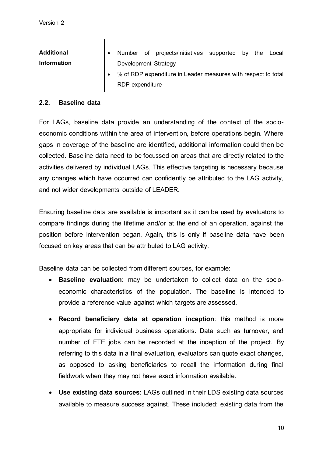| <b>Additional</b><br><b>Information</b> | Development Strategy | Number of projects/initiatives supported by the                 |  | Local |
|-----------------------------------------|----------------------|-----------------------------------------------------------------|--|-------|
|                                         | RDP expenditure      | • % of RDP expenditure in Leader measures with respect to total |  |       |

#### **2.2. Baseline data**

For LAGs, baseline data provide an understanding of the context of the socioeconomic conditions within the area of intervention, before operations begin. Where gaps in coverage of the baseline are identified, additional information could then be collected. Baseline data need to be focussed on areas that are directly related to the activities delivered by individual LAGs. This effective targeting is necessary because any changes which have occurred can confidently be attributed to the LAG activity, and not wider developments outside of LEADER.

Ensuring baseline data are available is important as it can be used by evaluators to compare findings during the lifetime and/or at the end of an operation, against the position before intervention began. Again, this is only if baseline data have been focused on key areas that can be attributed to LAG activity.

Baseline data can be collected from different sources, for example:

- **Baseline evaluation**: may be undertaken to collect data on the socioeconomic characteristics of the population. The baseline is intended to provide a reference value against which targets are assessed.
- **Record beneficiary data at operation inception**: this method is more appropriate for individual business operations. Data such as turnover, and number of FTE jobs can be recorded at the inception of the project. By referring to this data in a final evaluation, evaluators can quote exact changes, as opposed to asking beneficiaries to recall the information during final fieldwork when they may not have exact information available.
- **Use existing data sources**: LAGs outlined in their LDS existing data sources available to measure success against. These included: existing data from the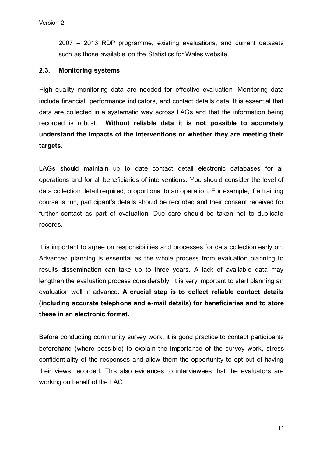2007 – 2013 RDP programme, existing evaluations, and current datasets such as those available on the Statistics for Wales website.

#### **2.3. Monitoring systems**

High quality monitoring data are needed for effective evaluation. Monitoring data include financial, performance indicators, and contact details data. It is essential that data are collected in a systematic way across LAGs and that the information being recorded is robust. **Without reliable data it is not possible to accurately understand the impacts of the interventions or whether they are meeting their targets.**

LAGs should maintain up to date contact detail electronic databases for all operations and for all beneficiaries of interventions. You should consider the level of data collection detail required, proportional to an operation. For example, if a training course is run, participant's details should be recorded and their consent received for further contact as part of evaluation. Due care should be taken not to duplicate records.

It is important to agree on responsibilities and processes for data collection early on. Advanced planning is essential as the whole process from evaluation planning to results dissemination can take up to three years. A lack of available data may lengthen the evaluation process considerably. It is very important to start planning an evaluation well in advance. **A crucial step is to collect reliable contact details (including accurate telephone and e-mail details) for beneficiaries and to store these in an electronic format.**

Before conducting community survey work, it is good practice to contact participants beforehand (where possible) to explain the importance of the survey work, stress confidentiality of the responses and allow them the opportunity to opt out of having their views recorded. This also evidences to interviewees that the evaluators are working on behalf of the LAG.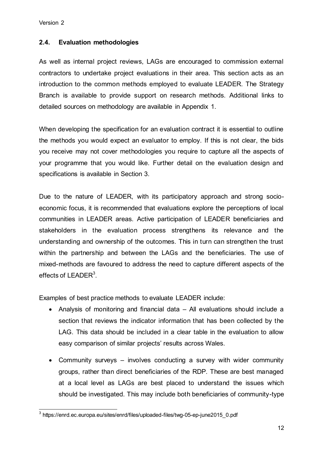# **2.4. Evaluation methodologies**

As well as internal project reviews, LAGs are encouraged to commission external contractors to undertake project evaluations in their area. This section acts as an introduction to the common methods employed to evaluate LEADER. The Strategy Branch is available to provide support on research methods. Additional links to detailed sources on methodology are available in Appendix 1.

When developing the specification for an evaluation contract it is essential to outline the methods you would expect an evaluator to employ. If this is not clear, the bids you receive may not cover methodologies you require to capture all the aspects of your programme that you would like. Further detail on the evaluation design and specifications is available in Section 3.

Due to the nature of LEADER, with its participatory approach and strong socioeconomic focus, it is recommended that evaluations explore the perceptions of local communities in LEADER areas. Active participation of LEADER beneficiaries and stakeholders in the evaluation process strengthens its relevance and the understanding and ownership of the outcomes. This in turn can strengthen the trust within the partnership and between the LAGs and the beneficiaries. The use of mixed-methods are favoured to address the need to capture different aspects of the effects of LEADER $3$ .

Examples of best practice methods to evaluate LEADER include:

- Analysis of monitoring and financial data All evaluations should include a section that reviews the indicator information that has been collected by the LAG. This data should be included in a clear table in the evaluation to allow easy comparison of similar projects' results across Wales.
- Community surveys involves conducting a survey with wider community groups, rather than direct beneficiaries of the RDP. These are best managed at a local level as LAGs are best placed to understand the issues which should be investigated. This may include both beneficiaries of community-type

 3 https://enrd.ec.europa.eu/sites/enrd/files/uploaded-files/twg-05-ep-june2015\_0.pdf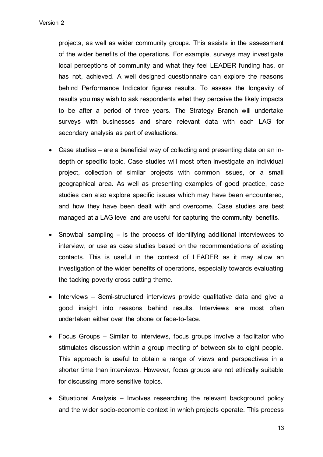projects, as well as wider community groups. This assists in the assessment of the wider benefits of the operations. For example, surveys may investigate local perceptions of community and what they feel LEADER funding has, or has not, achieved. A well designed questionnaire can explore the reasons behind Performance Indicator figures results. To assess the longevity of results you may wish to ask respondents what they perceive the likely impacts to be after a period of three years. The Strategy Branch will undertake surveys with businesses and share relevant data with each LAG for secondary analysis as part of evaluations.

- Case studies are a beneficial way of collecting and presenting data on an indepth or specific topic. Case studies will most often investigate an individual project, collection of similar projects with common issues, or a small geographical area. As well as presenting examples of good practice, case studies can also explore specific issues which may have been encountered, and how they have been dealt with and overcome. Case studies are best managed at a LAG level and are useful for capturing the community benefits.
- Snowball sampling is the process of identifying additional interviewees to interview, or use as case studies based on the recommendations of existing contacts. This is useful in the context of LEADER as it may allow an investigation of the wider benefits of operations, especially towards evaluating the tacking poverty cross cutting theme.
- Interviews Semi-structured interviews provide qualitative data and give a good insight into reasons behind results. Interviews are most often undertaken either over the phone or face-to-face.
- Focus Groups Similar to interviews, focus groups involve a facilitator who stimulates discussion within a group meeting of between six to eight people. This approach is useful to obtain a range of views and perspectives in a shorter time than interviews. However, focus groups are not ethically suitable for discussing more sensitive topics.
- Situational Analysis Involves researching the relevant background policy and the wider socio-economic context in which projects operate. This process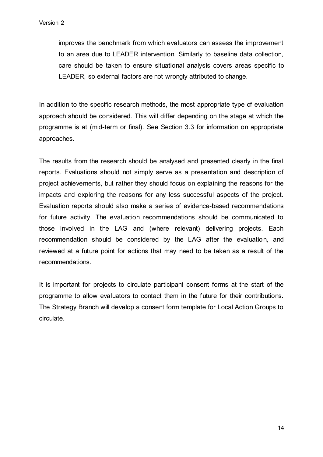improves the benchmark from which evaluators can assess the improvement to an area due to LEADER intervention. Similarly to baseline data collection, care should be taken to ensure situational analysis covers areas specific to LEADER, so external factors are not wrongly attributed to change.

In addition to the specific research methods, the most appropriate type of evaluation approach should be considered. This will differ depending on the stage at which the programme is at (mid-term or final). See Section 3.3 for information on appropriate approaches.

The results from the research should be analysed and presented clearly in the final reports. Evaluations should not simply serve as a presentation and description of project achievements, but rather they should focus on explaining the reasons for the impacts and exploring the reasons for any less successful aspects of the project. Evaluation reports should also make a series of evidence-based recommendations for future activity. The evaluation recommendations should be communicated to those involved in the LAG and (where relevant) delivering projects. Each recommendation should be considered by the LAG after the evaluation, and reviewed at a future point for actions that may need to be taken as a result of the recommendations.

It is important for projects to circulate participant consent forms at the start of the programme to allow evaluators to contact them in the future for their contributions. The Strategy Branch will develop a consent form template for Local Action Groups to circulate.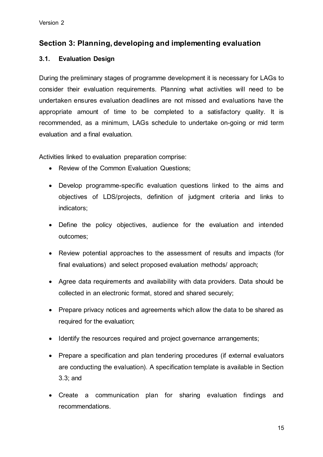# **Section 3: Planning, developing and implementing evaluation**

# **3.1. Evaluation Design**

During the preliminary stages of programme development it is necessary for LAGs to consider their evaluation requirements. Planning what activities will need to be undertaken ensures evaluation deadlines are not missed and evaluations have the appropriate amount of time to be completed to a satisfactory quality. It is recommended, as a minimum, LAGs schedule to undertake on-going or mid term evaluation and a final evaluation.

Activities linked to evaluation preparation comprise:

- Review of the Common Evaluation Questions;
- Develop programme-specific evaluation questions linked to the aims and objectives of LDS/projects, definition of judgment criteria and links to indicators;
- Define the policy objectives, audience for the evaluation and intended outcomes;
- Review potential approaches to the assessment of results and impacts (for final evaluations) and select proposed evaluation methods/ approach;
- Agree data requirements and availability with data providers. Data should be collected in an electronic format, stored and shared securely;
- Prepare privacy notices and agreements which allow the data to be shared as required for the evaluation;
- Identify the resources required and project governance arrangements;
- Prepare a specification and plan tendering procedures (if external evaluators are conducting the evaluation). A specification template is available in Section 3.3; and
- Create a communication plan for sharing evaluation findings and recommendations.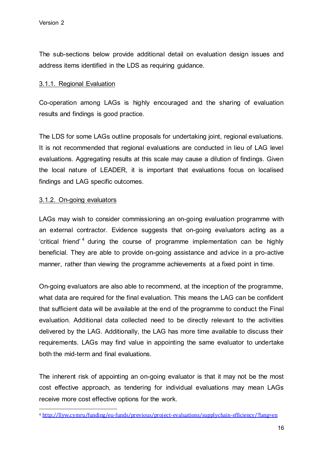The sub-sections below provide additional detail on evaluation design issues and address items identified in the LDS as requiring guidance.

# 3.1.1. Regional Evaluation

Co-operation among LAGs is highly encouraged and the sharing of evaluation results and findings is good practice.

The LDS for some LAGs outline proposals for undertaking joint, regional evaluations. It is not recommended that regional evaluations are conducted in lieu of LAG level evaluations. Aggregating results at this scale may cause a dilution of findings. Given the local nature of LEADER, it is important that evaluations focus on localised findings and LAG specific outcomes.

# 3.1.2. On-going evaluators

LAGs may wish to consider commissioning an on-going evaluation programme with an external contractor. Evidence suggests that on-going evaluators acting as a 'critical friend'<sup>4</sup> during the course of programme implementation can be highly beneficial. They are able to provide on-going assistance and advice in a pro-active manner, rather than viewing the programme achievements at a fixed point in time.

On-going evaluators are also able to recommend, at the inception of the programme, what data are required for the final evaluation. This means the LAG can be confident that sufficient data will be available at the end of the programme to conduct the Final evaluation. Additional data collected need to be directly relevant to the activities delivered by the LAG. Additionally, the LAG has more time available to discuss their requirements. LAGs may find value in appointing the same evaluator to undertake both the mid-term and final evaluations.

The inherent risk of appointing an on-going evaluator is that it may not be the most cost effective approach, as tendering for individual evaluations may mean LAGs receive more cost effective options for the work.

 $\overline{\phantom{a}}$ <sup>4</sup> <http://llyw.cymru/funding/eu-funds/previous/project-evaluations/supplychain-efficiency/?lang=en>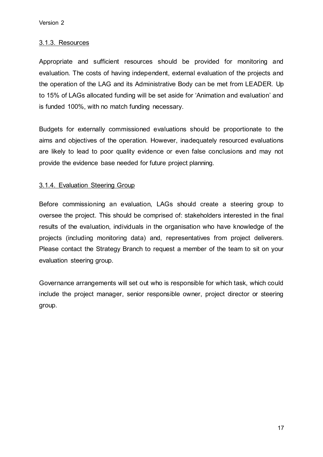#### 3.1.3. Resources

Appropriate and sufficient resources should be provided for monitoring and evaluation. The costs of having independent, external evaluation of the projects and the operation of the LAG and its Administrative Body can be met from LEADER. Up to 15% of LAGs allocated funding will be set aside for 'Animation and evaluation' and is funded 100%, with no match funding necessary.

Budgets for externally commissioned evaluations should be proportionate to the aims and objectives of the operation. However, inadequately resourced evaluations are likely to lead to poor quality evidence or even false conclusions and may not provide the evidence base needed for future project planning.

# 3.1.4. Evaluation Steering Group

Before commissioning an evaluation, LAGs should create a steering group to oversee the project. This should be comprised of: stakeholders interested in the final results of the evaluation, individuals in the organisation who have knowledge of the projects (including monitoring data) and, representatives from project deliverers. Please contact the Strategy Branch to request a member of the team to sit on your evaluation steering group.

Governance arrangements will set out who is responsible for which task, which could include the project manager, senior responsible owner, project director or steering group.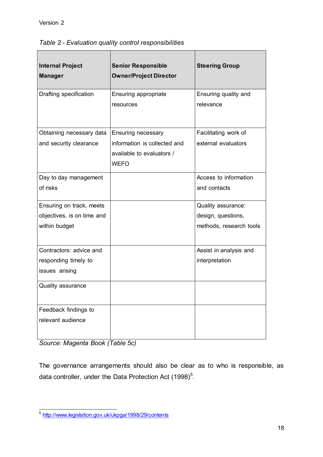| <b>Internal Project</b><br><b>Manager</b> | <b>Senior Responsible</b><br><b>Owner/Project Director</b> | <b>Steering Group</b>   |
|-------------------------------------------|------------------------------------------------------------|-------------------------|
| Drafting specification                    | Ensuring appropriate                                       | Ensuring quality and    |
|                                           | resources                                                  | relevance               |
| Obtaining necessary data                  | <b>Ensuring necessary</b>                                  | Facilitating work of    |
| and security clearance                    | information is collected and                               | external evaluators     |
|                                           | available to evaluators /                                  |                         |
|                                           | <b>WEFO</b>                                                |                         |
| Day to day management                     |                                                            | Access to information   |
| of risks                                  |                                                            | and contacts            |
| Ensuring on track, meets                  |                                                            | Quality assurance:      |
| objectives, is on time and                |                                                            | design, questions,      |
| within budget                             |                                                            | methods, research tools |
| Contractors: advice and                   |                                                            | Assist in analysis and  |
| responding timely to                      |                                                            | interpretation          |
| issues arising                            |                                                            |                         |
| <b>Quality assurance</b>                  |                                                            |                         |
| Feedback findings to                      |                                                            |                         |
| relevant audience                         |                                                            |                         |

*Table 2 - Evaluation quality control responsibilities*

*Source: Magenta Book (Table 5c)*

The governance arrangements should also be clear as to who is responsible, as data controller, under the Data Protection Act  $(1998)^5$ .

 5 <http://www.legislation.gov.uk/ukpga/1998/29/contents>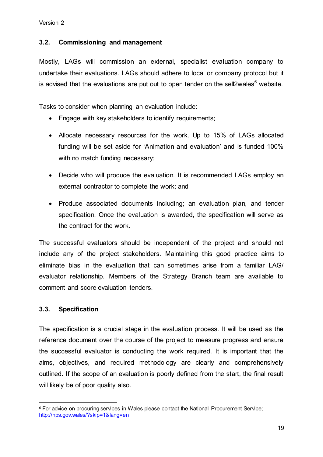#### **3.2. Commissioning and management**

Mostly, LAGs will commission an external, specialist evaluation company to undertake their evaluations. LAGs should adhere to local or company protocol but it is advised that the evaluations are put out to open tender on the sell2wales<sup>6</sup> website.

Tasks to consider when planning an evaluation include:

- Engage with key stakeholders to identify requirements;
- Allocate necessary resources for the work. Up to 15% of LAGs allocated funding will be set aside for 'Animation and evaluation' and is funded 100% with no match funding necessary;
- Decide who will produce the evaluation. It is recommended LAGs employ an external contractor to complete the work; and
- Produce associated documents including; an evaluation plan, and tender specification. Once the evaluation is awarded, the specification will serve as the contract for the work.

The successful evaluators should be independent of the project and should not include any of the project stakeholders. Maintaining this good practice aims to eliminate bias in the evaluation that can sometimes arise from a familiar LAG/ evaluator relationship. Members of the Strategy Branch team are available to comment and score evaluation tenders.

#### **3.3. Specification**

The specification is a crucial stage in the evaluation process. It will be used as the reference document over the course of the project to measure progress and ensure the successful evaluator is conducting the work required. It is important that the aims, objectives, and required methodology are clearly and comprehensively outlined. If the scope of an evaluation is poorly defined from the start, the final result will likely be of poor quality also.

 $\overline{\phantom{a}}$ <sup>6</sup> For advice on procuring services in Wales please contact the National Procurement Service; <http://nps.gov.wales/?skip=1&lang=en>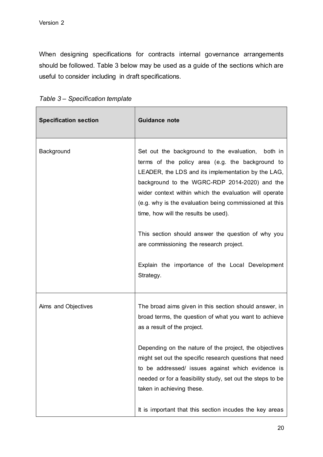When designing specifications for contracts internal governance arrangements should be followed. Table 3 below may be used as a guide of the sections which are useful to consider including in draft specifications.

| <b>Specification section</b> | <b>Guidance note</b>                                                                                                                                                                                                                                                                                                                                                                                                                                                                                                                      |
|------------------------------|-------------------------------------------------------------------------------------------------------------------------------------------------------------------------------------------------------------------------------------------------------------------------------------------------------------------------------------------------------------------------------------------------------------------------------------------------------------------------------------------------------------------------------------------|
| Background                   | Set out the background to the evaluation, both in<br>terms of the policy area (e.g. the background to<br>LEADER, the LDS and its implementation by the LAG,<br>background to the WGRC-RDP 2014-2020) and the<br>wider context within which the evaluation will operate<br>(e.g. why is the evaluation being commissioned at this<br>time, how will the results be used).<br>This section should answer the question of why you<br>are commissioning the research project.<br>Explain the importance of the Local Development<br>Strategy. |
| Aims and Objectives          | The broad aims given in this section should answer, in<br>broad terms, the question of what you want to achieve<br>as a result of the project.                                                                                                                                                                                                                                                                                                                                                                                            |
|                              | Depending on the nature of the project, the objectives<br>might set out the specific research questions that need<br>to be addressed/ issues against which evidence is<br>needed or for a feasibility study, set out the steps to be<br>taken in achieving these.                                                                                                                                                                                                                                                                         |
|                              | It is important that this section incudes the key areas                                                                                                                                                                                                                                                                                                                                                                                                                                                                                   |

*Table 3 – Specification template*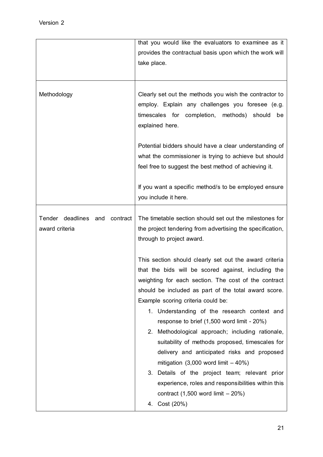|                                                    | that you would like the evaluators to examinee as it<br>provides the contractual basis upon which the work will<br>take place.                                                                                                                                                                                                                                                                                                                                                                                                                                                                                                                                                                                                       |
|----------------------------------------------------|--------------------------------------------------------------------------------------------------------------------------------------------------------------------------------------------------------------------------------------------------------------------------------------------------------------------------------------------------------------------------------------------------------------------------------------------------------------------------------------------------------------------------------------------------------------------------------------------------------------------------------------------------------------------------------------------------------------------------------------|
| Methodology                                        | Clearly set out the methods you wish the contractor to<br>employ. Explain any challenges you foresee (e.g.<br>timescales for completion, methods) should<br>be<br>explained here.<br>Potential bidders should have a clear understanding of<br>what the commissioner is trying to achieve but should<br>feel free to suggest the best method of achieving it.                                                                                                                                                                                                                                                                                                                                                                        |
|                                                    | If you want a specific method/s to be employed ensure<br>you include it here.                                                                                                                                                                                                                                                                                                                                                                                                                                                                                                                                                                                                                                                        |
| Tender deadlines and<br>contract<br>award criteria | The timetable section should set out the milestones for<br>the project tendering from advertising the specification,<br>through to project award.                                                                                                                                                                                                                                                                                                                                                                                                                                                                                                                                                                                    |
|                                                    | This section should clearly set out the award criteria<br>that the bids will be scored against, including the<br>weighting for each section. The cost of the contract<br>should be included as part of the total award score.<br>Example scoring criteria could be:<br>1. Understanding of the research context and<br>response to brief (1,500 word limit - 20%)<br>2. Methodological approach; including rationale,<br>suitability of methods proposed, timescales for<br>delivery and anticipated risks and proposed<br>mitigation $(3,000$ word limit $-40\%)$<br>3. Details of the project team; relevant prior<br>experience, roles and responsibilities within this<br>contract $(1,500$ word limit $-20\%)$<br>4. Cost (20%) |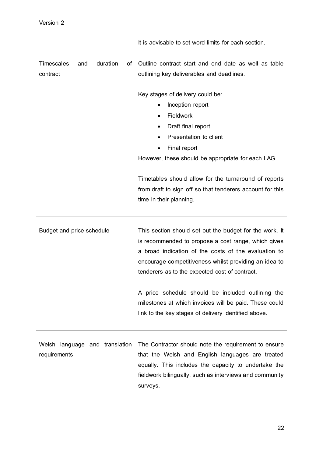|                                                 | It is advisable to set word limits for each section.                                                                                                                                                                                                                                                |
|-------------------------------------------------|-----------------------------------------------------------------------------------------------------------------------------------------------------------------------------------------------------------------------------------------------------------------------------------------------------|
| duration<br>Timescales<br>of<br>and<br>contract | Outline contract start and end date as well as table<br>outlining key deliverables and deadlines.<br>Key stages of delivery could be:<br>Inception report<br><b>Fieldwork</b><br>Draft final report<br>Presentation to client<br>Final report<br>However, these should be appropriate for each LAG. |
|                                                 | Timetables should allow for the turnaround of reports<br>from draft to sign off so that tenderers account for this<br>time in their planning.                                                                                                                                                       |
| Budget and price schedule                       | This section should set out the budget for the work. It<br>is recommended to propose a cost range, which gives<br>a broad indication of the costs of the evaluation to<br>encourage competitiveness whilst providing an idea to<br>tenderers as to the expected cost of contract.                   |
|                                                 | A price schedule should be included outlining the<br>milestones at which invoices will be paid. These could<br>link to the key stages of delivery identified above.                                                                                                                                 |
| Welsh language and translation<br>requirements  | The Contractor should note the requirement to ensure<br>that the Welsh and English languages are treated<br>equally. This includes the capacity to undertake the<br>fieldwork bilingually, such as interviews and community<br>surveys.                                                             |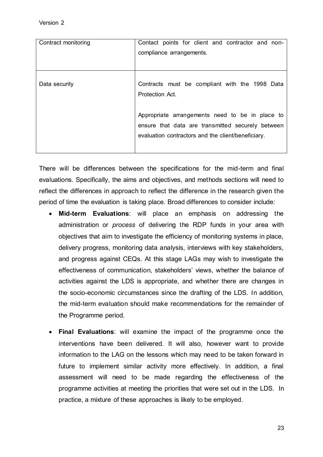| Contract monitoring | Contact points for client and contractor and non-<br>compliance arrangements.                                                                              |
|---------------------|------------------------------------------------------------------------------------------------------------------------------------------------------------|
| Data security       | Contracts must be compliant with the 1998 Data<br>Protection Act.                                                                                          |
|                     | Appropriate arrangements need to be in place to<br>ensure that data are transmitted securely between<br>evaluation contractors and the client/beneficiary. |

There will be differences between the specifications for the mid-term and final evaluations. Specifically, the aims and objectives, and methods sections will need to reflect the differences in approach to reflect the difference in the research given the period of time the evaluation is taking place. Broad differences to consider include:

- **Mid-term Evaluations**: will place an emphasis on addressing the administration or *process* of delivering the RDP funds in your area with objectives that aim to investigate the efficiency of monitoring systems in place, delivery progress, monitoring data analysis, interviews with key stakeholders, and progress against CEQs. At this stage LAGs may wish to investigate the effectiveness of communication, stakeholders' views, whether the balance of activities against the LDS is appropriate, and whether there are changes in the socio-economic circumstances since the drafting of the LDS. In addition, the mid-term evaluation should make recommendations for the remainder of the Programme period.
- **Final Evaluations**: will examine the impact of the programme once the interventions have been delivered. It will also, however want to provide information to the LAG on the lessons which may need to be taken forward in future to implement similar activity more effectively. In addition, a final assessment will need to be made regarding the effectiveness of the programme activities at meeting the priorities that were set out in the LDS. In practice, a mixture of these approaches is likely to be employed.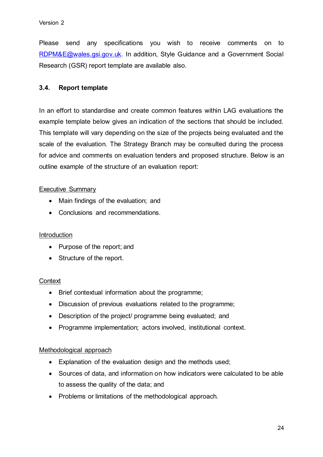Please send any specifications you wish to receive comments on to [RDPM&E@wales.gsi.gov.uk.](mailto:RDPM&E@wales.gsi.gov.uk) In addition, Style Guidance and a Government Social Research (GSR) report template are available also.

# **3.4. Report template**

In an effort to standardise and create common features within LAG evaluations the example template below gives an indication of the sections that should be included. This template will vary depending on the size of the projects being evaluated and the scale of the evaluation. The Strategy Branch may be consulted during the process for advice and comments on evaluation tenders and proposed structure. Below is an outline example of the structure of an evaluation report:

# Executive Summary

- Main findings of the evaluation; and
- Conclusions and recommendations.

#### **Introduction**

- Purpose of the report; and
- Structure of the report.

#### **Context**

- Brief contextual information about the programme;
- Discussion of previous evaluations related to the programme;
- Description of the project/ programme being evaluated; and
- Programme implementation; actors involved, institutional context.

#### Methodological approach

- Explanation of the evaluation design and the methods used;
- Sources of data, and information on how indicators were calculated to be able to assess the quality of the data; and
- Problems or limitations of the methodological approach.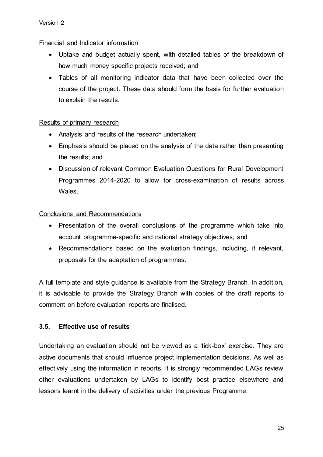# Financial and Indicator information

- Uptake and budget actually spent, with detailed tables of the breakdown of how much money specific projects received; and
- Tables of all monitoring indicator data that have been collected over the course of the project. These data should form the basis for further evaluation to explain the results.

# Results of primary research

- Analysis and results of the research undertaken;
- Emphasis should be placed on the analysis of the data rather than presenting the results; and
- Discussion of relevant Common Evaluation Questions for Rural Development Programmes 2014-2020 to allow for cross-examination of results across Wales.

# Conclusions and Recommendations

- Presentation of the overall conclusions of the programme which take into account programme-specific and national strategy objectives; and
- Recommendations based on the evaluation findings, including, if relevant, proposals for the adaptation of programmes.

A full template and style guidance is available from the Strategy Branch. In addition, it is advisable to provide the Strategy Branch with copies of the draft reports to comment on before evaluation reports are finalised.

# **3.5. Effective use of results**

Undertaking an evaluation should not be viewed as a 'tick-box' exercise. They are active documents that should influence project implementation decisions. As well as effectively using the information in reports, it is strongly recommended LAGs review other evaluations undertaken by LAGs to identify best practice elsewhere and lessons learnt in the delivery of activities under the previous Programme.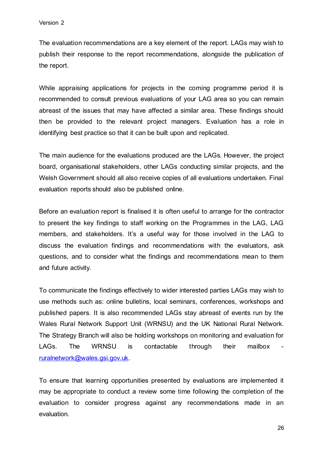The evaluation recommendations are a key element of the report. LAGs may wish to publish their response to the report recommendations, alongside the publication of the report.

While appraising applications for projects in the coming programme period it is recommended to consult previous evaluations of your LAG area so you can remain abreast of the issues that may have affected a similar area. These findings should then be provided to the relevant project managers. Evaluation has a role in identifying best practice so that it can be built upon and replicated.

The main audience for the evaluations produced are the LAGs. However, the project board, organisational stakeholders, other LAGs conducting similar projects, and the Welsh Government should all also receive copies of all evaluations undertaken. Final evaluation reports should also be published online.

Before an evaluation report is finalised it is often useful to arrange for the contractor to present the key findings to staff working on the Programmes in the LAG, LAG members, and stakeholders. It's a useful way for those involved in the LAG to discuss the evaluation findings and recommendations with the evaluators, ask questions, and to consider what the findings and recommendations mean to them and future activity.

To communicate the findings effectively to wider interested parties LAGs may wish to use methods such as: online bulletins, local seminars, conferences, workshops and published papers. It is also recommended LAGs stay abreast of events run by the Wales Rural Network Support Unit (WRNSU) and the UK National Rural Network. The Strategy Branch will also be holding workshops on monitoring and evaluation for LAGs. The WRNSU is contactable through their mailbox [ruralnetwork@wales.gsi.gov.uk.](mailto:ruralnetwork@wales.gsi.gov.uk)

To ensure that learning opportunities presented by evaluations are implemented it may be appropriate to conduct a review some time following the completion of the evaluation to consider progress against any recommendations made in an evaluation.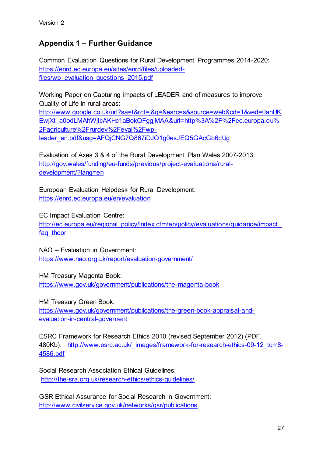# **Appendix 1 – Further Guidance**

Common Evaluation Questions for Rural Development Programmes 2014-2020: [https://enrd.ec.europa.eu/sites/enrd/files/uploaded](https://enrd.ec.europa.eu/sites/enrd/files/uploaded-files/wp_evaluation_questions_2015.pdf)[files/wp\\_evaluation\\_questions\\_2015.pdf](https://enrd.ec.europa.eu/sites/enrd/files/uploaded-files/wp_evaluation_questions_2015.pdf)

Working Paper on Capturing impacts of LEADER and of measures to improve Quality of Life in rural areas: [http://www.google.co.uk/url?sa=t&rct=j&q=&esrc=s&source=web&cd=1&ved=0ahUK](http://www.google.co.uk/url?sa=t&rct=j&q=&esrc=s&source=web&cd=1&ved=0ahUKEwjXt_a0odLMAhWjIcAKHc1aBokQFggjMAA&url=http%3A%2F%2Fec.europa.eu%2Fagriculture%2Frurdev%2Feval%2Fwp-leader_en.pdf&usg=AFQjCNG7Q867iDJO1g0esJEQ5GAcGb6cUg) [EwjXt\\_a0odLMAhWjIcAKHc1aBokQFggjMAA&url=http%3A%2F%2Fec.europa.eu%](http://www.google.co.uk/url?sa=t&rct=j&q=&esrc=s&source=web&cd=1&ved=0ahUKEwjXt_a0odLMAhWjIcAKHc1aBokQFggjMAA&url=http%3A%2F%2Fec.europa.eu%2Fagriculture%2Frurdev%2Feval%2Fwp-leader_en.pdf&usg=AFQjCNG7Q867iDJO1g0esJEQ5GAcGb6cUg) [2Fagriculture%2Frurdev%2Feval%2Fwp](http://www.google.co.uk/url?sa=t&rct=j&q=&esrc=s&source=web&cd=1&ved=0ahUKEwjXt_a0odLMAhWjIcAKHc1aBokQFggjMAA&url=http%3A%2F%2Fec.europa.eu%2Fagriculture%2Frurdev%2Feval%2Fwp-leader_en.pdf&usg=AFQjCNG7Q867iDJO1g0esJEQ5GAcGb6cUg)[leader\\_en.pdf&usg=AFQjCNG7Q867iDJO1g0esJEQ5GAcGb6cUg](http://www.google.co.uk/url?sa=t&rct=j&q=&esrc=s&source=web&cd=1&ved=0ahUKEwjXt_a0odLMAhWjIcAKHc1aBokQFggjMAA&url=http%3A%2F%2Fec.europa.eu%2Fagriculture%2Frurdev%2Feval%2Fwp-leader_en.pdf&usg=AFQjCNG7Q867iDJO1g0esJEQ5GAcGb6cUg)

Evaluation of Axes 3 & 4 of the Rural Development Plan Wales 2007-2013: [http://gov.wales/funding/eu-funds/previous/project-evaluations/rural](http://gov.wales/funding/eu-funds/previous/project-evaluations/rural-development/?lang=en)[development/?lang=en](http://gov.wales/funding/eu-funds/previous/project-evaluations/rural-development/?lang=en)

European Evaluation Helpdesk for Rural Development: <https://enrd.ec.europa.eu/en/evaluation>

EC Impact Evaluation Centre:

http://ec.europa.eu/regional\_policy/index.cfm/en/policy/evaluations/guidance/impact faq theor

NAO – Evaluation in Government:

<https://www.nao.org.uk/report/evaluation-government/>

HM Treasury Magenta Book:

<https://www.gov.uk/government/publications/the-magenta-book>

HM Treasury Green Book: [https://www.gov.uk/government/publications/the-green-book-appraisal-and](https://www.gov.uk/government/publications/the-green-book-appraisal-and-evaluation-in-central-governent)[evaluation-in-central-governent](https://www.gov.uk/government/publications/the-green-book-appraisal-and-evaluation-in-central-governent)

ESRC Framework for Research Ethics 2010 (revised September 2012) (PDF, 480Kb): [http://www.esrc.ac.uk/\\_images/framework-for-research-ethics-09-12\\_tcm8-](http://www.esrc.ac.uk/_images/framework-for-research-ethics-09-12_tcm8-4586.pdf) [4586.pdf](http://www.esrc.ac.uk/_images/framework-for-research-ethics-09-12_tcm8-4586.pdf)

Social Research Association Ethical Guidelines: <http://the-sra.org.uk/research-ethics/ethics-guidelines/>

GSR Ethical Assurance for Social Research in Government: <http://www.civilservice.gov.uk/networks/gsr/publications>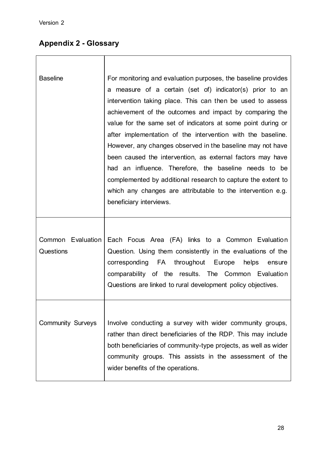# **Appendix 2 - Glossary**

| <b>Baseline</b>          | For monitoring and evaluation purposes, the baseline provides   |
|--------------------------|-----------------------------------------------------------------|
|                          | a measure of a certain (set of) indicator(s) prior to an        |
|                          | intervention taking place. This can then be used to assess      |
|                          | achievement of the outcomes and impact by comparing the         |
|                          | value for the same set of indicators at some point during or    |
|                          | after implementation of the intervention with the baseline.     |
|                          | However, any changes observed in the baseline may not have      |
|                          | been caused the intervention, as external factors may have      |
|                          | had an influence. Therefore, the baseline needs to be           |
|                          | complemented by additional research to capture the extent to    |
|                          | which any changes are attributable to the intervention e.g.     |
|                          | beneficiary interviews.                                         |
|                          |                                                                 |
|                          |                                                                 |
| Common Evaluation        | Each Focus Area (FA) links to a Common Evaluation               |
| Questions                | Question. Using them consistently in the evaluations of the     |
|                          | corresponding FA<br>throughout Europe<br>helps<br>ensure        |
|                          | comparability of the results. The Common Evaluation             |
|                          | Questions are linked to rural development policy objectives.    |
|                          |                                                                 |
|                          |                                                                 |
| <b>Community Surveys</b> | Involve conducting a survey with wider community groups,        |
|                          | rather than direct beneficiaries of the RDP. This may include   |
|                          | both beneficiaries of community-type projects, as well as wider |
|                          | community groups. This assists in the assessment of the         |
|                          | wider benefits of the operations.                               |
|                          |                                                                 |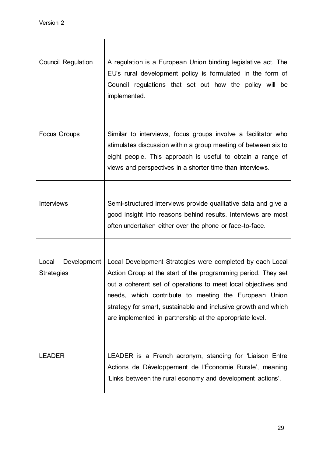| <b>Council Regulation</b>                 | A regulation is a European Union binding legislative act. The<br>EU's rural development policy is formulated in the form of<br>Council regulations that set out how the policy will be<br>implemented.                                                                                                                                                                             |
|-------------------------------------------|------------------------------------------------------------------------------------------------------------------------------------------------------------------------------------------------------------------------------------------------------------------------------------------------------------------------------------------------------------------------------------|
| <b>Focus Groups</b>                       | Similar to interviews, focus groups involve a facilitator who<br>stimulates discussion within a group meeting of between six to<br>eight people. This approach is useful to obtain a range of<br>views and perspectives in a shorter time than interviews.                                                                                                                         |
| <b>Interviews</b>                         | Semi-structured interviews provide qualitative data and give a<br>good insight into reasons behind results. Interviews are most<br>often undertaken either over the phone or face-to-face.                                                                                                                                                                                         |
| Local<br>Development<br><b>Strategies</b> | Local Development Strategies were completed by each Local<br>Action Group at the start of the programming period. They set<br>out a coherent set of operations to meet local objectives and<br>needs, which contribute to meeting the European Union<br>strategy for smart, sustainable and inclusive growth and which<br>are implemented in partnership at the appropriate level. |
| <b>LEADER</b>                             | LEADER is a French acronym, standing for 'Liaison Entre<br>Actions de Développement de l'Économie Rurale', meaning<br>'Links between the rural economy and development actions'.                                                                                                                                                                                                   |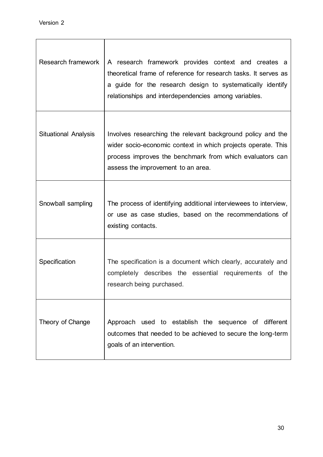| Research framework          | A research framework provides context and creates a<br>theoretical frame of reference for research tasks. It serves as<br>a guide for the research design to systematically identify<br>relationships and interdependencies among variables. |
|-----------------------------|----------------------------------------------------------------------------------------------------------------------------------------------------------------------------------------------------------------------------------------------|
| <b>Situational Analysis</b> | Involves researching the relevant background policy and the<br>wider socio-economic context in which projects operate. This<br>process improves the benchmark from which evaluators can<br>assess the improvement to an area.                |
| Snowball sampling           | The process of identifying additional interviewees to interview,<br>or use as case studies, based on the recommendations of<br>existing contacts.                                                                                            |
| Specification               | The specification is a document which clearly, accurately and<br>completely describes the essential requirements of the<br>research being purchased.                                                                                         |
| Theory of Change            | Approach used to establish the sequence of different<br>outcomes that needed to be achieved to secure the long-term<br>goals of an intervention.                                                                                             |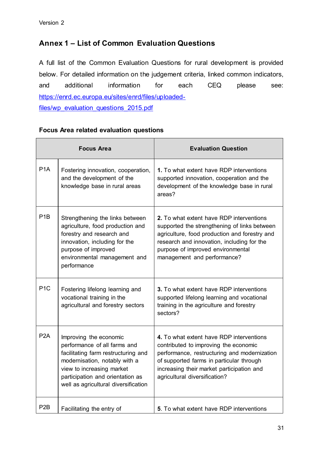# **Annex 1 – List of Common Evaluation Questions**

A full list of the Common Evaluation Questions for rural development is provided below. For detailed information on the judgement criteria, linked common indicators, and additional information for each CEQ please see: [https://enrd.ec.europa.eu/sites/enrd/files/uploaded](https://enrd.ec.europa.eu/sites/enrd/files/uploaded-files/wp_evaluation_questions_2015.pdf)[files/wp\\_evaluation\\_questions\\_2015.pdf](https://enrd.ec.europa.eu/sites/enrd/files/uploaded-files/wp_evaluation_questions_2015.pdf)

# **Focus Area related evaluation questions**

|                  | <b>Focus Area</b>                                                                                                                                                                                                                       | <b>Evaluation Question</b>                                                                                                                                                                                                                                  |  |  |  |
|------------------|-----------------------------------------------------------------------------------------------------------------------------------------------------------------------------------------------------------------------------------------|-------------------------------------------------------------------------------------------------------------------------------------------------------------------------------------------------------------------------------------------------------------|--|--|--|
| P <sub>1</sub> A | Fostering innovation, cooperation,<br>and the development of the<br>knowledge base in rural areas                                                                                                                                       | 1. To what extent have RDP interventions<br>supported innovation, cooperation and the<br>development of the knowledge base in rural<br>areas?                                                                                                               |  |  |  |
| P <sub>1</sub> B | Strengthening the links between<br>agriculture, food production and<br>forestry and research and<br>innovation, including for the<br>purpose of improved<br>environmental management and<br>performance                                 | 2. To what extent have RDP interventions<br>supported the strengthening of links between<br>agriculture, food production and forestry and<br>research and innovation, including for the<br>purpose of improved environmental<br>management and performance? |  |  |  |
| P <sub>1</sub> C | Fostering lifelong learning and<br>vocational training in the<br>agricultural and forestry sectors                                                                                                                                      | 3. To what extent have RDP interventions<br>supported lifelong learning and vocational<br>training in the agriculture and forestry<br>sectors?                                                                                                              |  |  |  |
| P2A              | Improving the economic<br>performance of all farms and<br>facilitating farm restructuring and<br>modernisation, notably with a<br>view to increasing market<br>participation and orientation as<br>well as agricultural diversification | 4. To what extent have RDP interventions<br>contributed to improving the economic<br>performance, restructuring and modernization<br>of supported farms in particular through<br>increasing their market participation and<br>agricultural diversification? |  |  |  |
| P <sub>2</sub> B | Facilitating the entry of                                                                                                                                                                                                               | 5. To what extent have RDP interventions                                                                                                                                                                                                                    |  |  |  |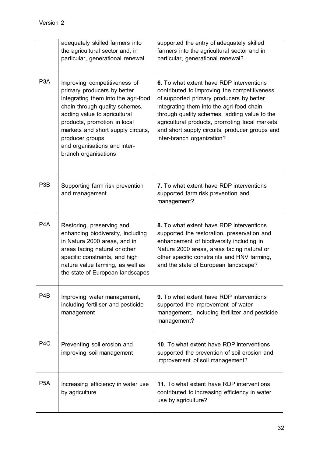|                  | adequately skilled farmers into<br>the agricultural sector and, in<br>particular, generational renewal                                                                                                                                                                                                                | supported the entry of adequately skilled<br>farmers into the agricultural sector and in<br>particular, generational renewal?                                                                                                                                                                                                                                       |  |  |  |
|------------------|-----------------------------------------------------------------------------------------------------------------------------------------------------------------------------------------------------------------------------------------------------------------------------------------------------------------------|---------------------------------------------------------------------------------------------------------------------------------------------------------------------------------------------------------------------------------------------------------------------------------------------------------------------------------------------------------------------|--|--|--|
| P <sub>3</sub> A | Improving competitiveness of<br>primary producers by better<br>integrating them into the agri-food<br>chain through quality schemes,<br>adding value to agricultural<br>products, promotion in local<br>markets and short supply circuits,<br>producer groups<br>and organisations and inter-<br>branch organisations | 6. To what extent have RDP interventions<br>contributed to improving the competitiveness<br>of supported primary producers by better<br>integrating them into the agri-food chain<br>through quality schemes, adding value to the<br>agricultural products, promoting local markets<br>and short supply circuits, producer groups and<br>inter-branch organization? |  |  |  |
| P <sub>3</sub> B | Supporting farm risk prevention<br>and management                                                                                                                                                                                                                                                                     | 7. To what extent have RDP interventions<br>supported farm risk prevention and<br>management?                                                                                                                                                                                                                                                                       |  |  |  |
| P <sub>4</sub> A | Restoring, preserving and<br>enhancing biodiversity, including<br>in Natura 2000 areas, and in<br>areas facing natural or other<br>specific constraints, and high<br>nature value farming, as well as<br>the state of European landscapes                                                                             | 8. To what extent have RDP interventions<br>supported the restoration, preservation and<br>enhancement of biodiversity including in<br>Natura 2000 areas, areas facing natural or<br>other specific constraints and HNV farming,<br>and the state of European landscape?                                                                                            |  |  |  |
| P <sub>4</sub> B | Improving water management,<br>including fertiliser and pesticide<br>management                                                                                                                                                                                                                                       | 9. To what extent have RDP interventions<br>supported the improvement of water<br>management, including fertilizer and pesticide<br>management?                                                                                                                                                                                                                     |  |  |  |
| P <sub>4</sub> C | Preventing soil erosion and<br>improving soil management                                                                                                                                                                                                                                                              | 10. To what extent have RDP interventions<br>supported the prevention of soil erosion and<br>improvement of soil management?                                                                                                                                                                                                                                        |  |  |  |
| P <sub>5</sub> A | Increasing efficiency in water use<br>by agriculture                                                                                                                                                                                                                                                                  | 11. To what extent have RDP interventions<br>contributed to increasing efficiency in water<br>use by agriculture?                                                                                                                                                                                                                                                   |  |  |  |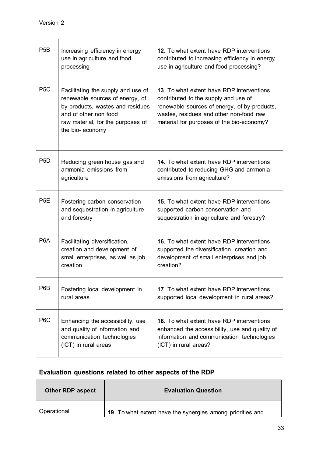| P <sub>5</sub> B | Increasing efficiency in energy<br>use in agriculture and food<br>processing                                                                                                               | 12. To what extent have RDP interventions<br>contributed to increasing efficiency in energy<br>use in agriculture and food processing?                                                                                    |
|------------------|--------------------------------------------------------------------------------------------------------------------------------------------------------------------------------------------|---------------------------------------------------------------------------------------------------------------------------------------------------------------------------------------------------------------------------|
| P <sub>5</sub> C | Facilitating the supply and use of<br>renewable sources of energy, of<br>by-products, wastes and residues<br>and of other non food<br>raw material, for the purposes of<br>the bio-economy | 13. To what extent have RDP interventions<br>contributed to the supply and use of<br>renewable sources of energy, of by-products,<br>wastes, residues and other non-food raw<br>material for purposes of the bio-economy? |
| P <sub>5</sub> D | Reducing green house gas and<br>ammonia emissions from<br>agriculture                                                                                                                      | 14. To what extent have RDP interventions<br>contributed to reducing GHG and ammonia<br>emissions from agriculture?                                                                                                       |
| P <sub>5</sub> E | Fostering carbon conservation<br>and sequestration in agriculture<br>and forestry                                                                                                          | 15. To what extent have RDP interventions<br>supported carbon conservation and<br>sequestration in agriculture and forestry?                                                                                              |
| P <sub>6</sub> A | Facilitating diversification,<br>creation and development of<br>small enterprises, as well as job<br>creation                                                                              | 16. To what extent have RDP interventions<br>supported the diversification, creation and<br>development of small enterprises and job<br>creation?                                                                         |
| P6B              | Fostering local development in<br>rural areas                                                                                                                                              | 17. To what extent have RDP interventions<br>supported local development in rural areas?                                                                                                                                  |
| P6C              | Enhancing the accessibility, use<br>and quality of information and<br>communication technologies<br>(ICT) in rural areas                                                                   | <b>18.</b> To what extent have RDP interventions<br>enhanced the accessibility, use and quality of<br>information and communication technologies<br>(ICT) in rural areas?                                                 |

# **Evaluation questions related to other aspects of the RDP**

| <b>Other RDP aspect</b> | <b>Evaluation Question</b>                                 |  |  |  |  |
|-------------------------|------------------------------------------------------------|--|--|--|--|
| Operational             | 19. To what extent have the synergies among priorities and |  |  |  |  |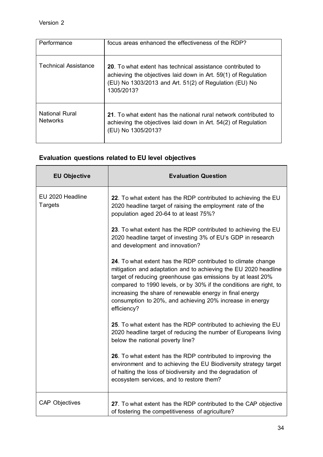| Performance                              | focus areas enhanced the effectiveness of the RDP?                                                                                                                                                   |  |  |  |  |
|------------------------------------------|------------------------------------------------------------------------------------------------------------------------------------------------------------------------------------------------------|--|--|--|--|
| Technical Assistance                     | 20. To what extent has technical assistance contributed to<br>achieving the objectives laid down in Art. 59(1) of Regulation<br>(EU) No 1303/2013 and Art. 51(2) of Regulation (EU) No<br>1305/2013? |  |  |  |  |
| <b>National Rural</b><br><b>Networks</b> | 21. To what extent has the national rural network contributed to<br>achieving the objectives laid down in Art. 54(2) of Regulation<br>(EU) No 1305/2013?                                             |  |  |  |  |

# **Evaluation questions related to EU level objectives**

| <b>EU Objective</b>                | <b>Evaluation Question</b>                                                                                                                                                                                                                                                                                                                                                                                  |
|------------------------------------|-------------------------------------------------------------------------------------------------------------------------------------------------------------------------------------------------------------------------------------------------------------------------------------------------------------------------------------------------------------------------------------------------------------|
| EU 2020 Headline<br><b>Targets</b> | 22. To what extent has the RDP contributed to achieving the EU<br>2020 headline target of raising the employment rate of the<br>population aged 20-64 to at least 75%?                                                                                                                                                                                                                                      |
|                                    | 23. To what extent has the RDP contributed to achieving the EU<br>2020 headline target of investing 3% of EU's GDP in research<br>and development and innovation?                                                                                                                                                                                                                                           |
|                                    | 24. To what extent has the RDP contributed to climate change<br>mitigation and adaptation and to achieving the EU 2020 headline<br>target of reducing greenhouse gas emissions by at least 20%<br>compared to 1990 levels, or by 30% if the conditions are right, to<br>increasing the share of renewable energy in final energy<br>consumption to 20%, and achieving 20% increase in energy<br>efficiency? |
|                                    | 25. To what extent has the RDP contributed to achieving the EU<br>2020 headline target of reducing the number of Europeans living<br>below the national poverty line?                                                                                                                                                                                                                                       |
|                                    | 26. To what extent has the RDP contributed to improving the<br>environment and to achieving the EU Biodiversity strategy target<br>of halting the loss of biodiversity and the degradation of<br>ecosystem services, and to restore them?                                                                                                                                                                   |
| <b>CAP Objectives</b>              | 27. To what extent has the RDP contributed to the CAP objective<br>of fostering the competitiveness of agriculture?                                                                                                                                                                                                                                                                                         |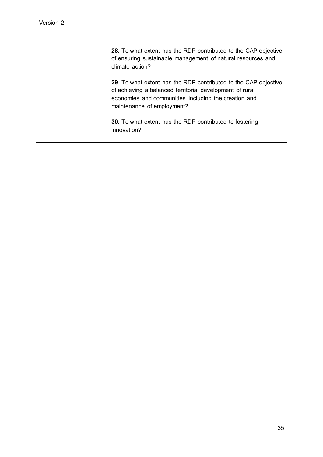| 28. To what extent has the RDP contributed to the CAP objective<br>of ensuring sustainable management of natural resources and<br>climate action?                                                                 |
|-------------------------------------------------------------------------------------------------------------------------------------------------------------------------------------------------------------------|
| 29. To what extent has the RDP contributed to the CAP objective<br>of achieving a balanced territorial development of rural<br>economies and communities including the creation and<br>maintenance of employment? |
| <b>30.</b> To what extent has the RDP contributed to fostering<br>innovation?                                                                                                                                     |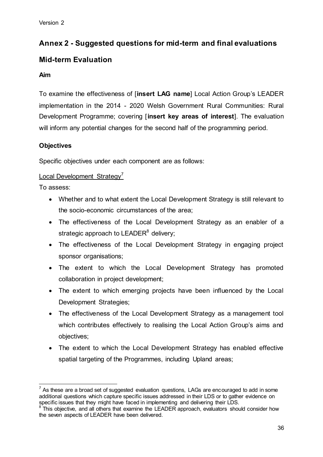# **Annex 2 - Suggested questions for mid-term and final evaluations**

# **Mid-term Evaluation**

# **Aim**

To examine the effectiveness of [**insert LAG name**] Local Action Group's LEADER implementation in the 2014 - 2020 Welsh Government Rural Communities: Rural Development Programme; covering [**insert key areas of interest**]. The evaluation will inform any potential changes for the second half of the programming period.

# **Objectives**

Specific objectives under each component are as follows:

# Local Development Strategy<sup>7</sup>

To assess:

- Whether and to what extent the Local Development Strategy is still relevant to the socio-economic circumstances of the area;
- The effectiveness of the Local Development Strategy as an enabler of a strategic approach to LEADER<sup>8</sup> delivery;
- The effectiveness of the Local Development Strategy in engaging project sponsor organisations;
- The extent to which the Local Development Strategy has promoted collaboration in project development;
- The extent to which emerging projects have been influenced by the Local Development Strategies;
- The effectiveness of the Local Development Strategy as a management tool which contributes effectively to realising the Local Action Group's aims and objectives;
- The extent to which the Local Development Strategy has enabled effective spatial targeting of the Programmes, including Upland areas;

 $\overline{a}$  $7$  As these are a broad set of suggested evaluation questions, LAGs are encouraged to add in some additional questions which capture specific issues addressed in their LDS or to gather evidence on specific issues that they might have faced in implementing and delivering their LDS.

 $8$  This objective, and all others that examine the LEADER approach, evaluators should consider how the seven aspects of LEADER have been delivered.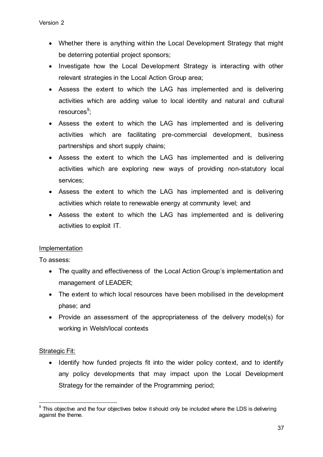- Whether there is anything within the Local Development Strategy that might be deterring potential project sponsors;
- Investigate how the Local Development Strategy is interacting with other relevant strategies in the Local Action Group area;
- Assess the extent to which the LAG has implemented and is delivering activities which are adding value to local identity and natural and cultural resources<sup>9</sup>;
- Assess the extent to which the LAG has implemented and is delivering activities which are facilitating pre-commercial development, business partnerships and short supply chains;
- Assess the extent to which the LAG has implemented and is delivering activities which are exploring new ways of providing non-statutory local services;
- Assess the extent to which the LAG has implemented and is delivering activities which relate to renewable energy at community level; and
- Assess the extent to which the LAG has implemented and is delivering activities to exploit IT.

# Implementation

To assess:

- The quality and effectiveness of the Local Action Group's implementation and management of LEADER;
- The extent to which local resources have been mobilised in the development phase; and
- Provide an assessment of the appropriateness of the delivery model(s) for working in Welsh/local contexts

# Strategic Fit:

• Identify how funded projects fit into the wider policy context, and to identify any policy developments that may impact upon the Local Development Strategy for the remainder of the Programming period;

 $\overline{\phantom{a}}$  $9$  This objective and the four objectives below it should only be included where the LDS is delivering against the theme.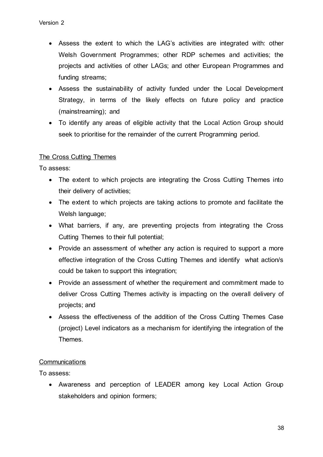- Assess the extent to which the LAG's activities are integrated with: other Welsh Government Programmes; other RDP schemes and activities; the projects and activities of other LAGs; and other European Programmes and funding streams;
- Assess the sustainability of activity funded under the Local Development Strategy, in terms of the likely effects on future policy and practice (mainstreaming); and
- To identify any areas of eligible activity that the Local Action Group should seek to prioritise for the remainder of the current Programming period.

# The Cross Cutting Themes

To assess:

- The extent to which projects are integrating the Cross Cutting Themes into their delivery of activities;
- The extent to which projects are taking actions to promote and facilitate the Welsh language;
- What barriers, if any, are preventing projects from integrating the Cross Cutting Themes to their full potential;
- Provide an assessment of whether any action is required to support a more effective integration of the Cross Cutting Themes and identify what action/s could be taken to support this integration;
- Provide an assessment of whether the requirement and commitment made to deliver Cross Cutting Themes activity is impacting on the overall delivery of projects; and
- Assess the effectiveness of the addition of the Cross Cutting Themes Case (project) Level indicators as a mechanism for identifying the integration of the Themes.

#### **Communications**

To assess:

 Awareness and perception of LEADER among key Local Action Group stakeholders and opinion formers;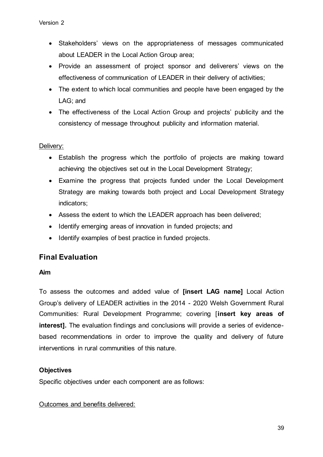- Stakeholders' views on the appropriateness of messages communicated about LEADER in the Local Action Group area;
- Provide an assessment of project sponsor and deliverers' views on the effectiveness of communication of LEADER in their delivery of activities;
- The extent to which local communities and people have been engaged by the LAG; and
- The effectiveness of the Local Action Group and projects' publicity and the consistency of message throughout publicity and information material.

# Delivery:

- Establish the progress which the portfolio of projects are making toward achieving the objectives set out in the Local Development Strategy;
- Examine the progress that projects funded under the Local Development Strategy are making towards both project and Local Development Strategy indicators;
- Assess the extent to which the LEADER approach has been delivered;
- Identify emerging areas of innovation in funded projects; and
- Identify examples of best practice in funded projects.

# **Final Evaluation**

#### **Aim**

To assess the outcomes and added value of **[insert LAG name]** Local Action Group's delivery of LEADER activities in the 2014 - 2020 Welsh Government Rural Communities: Rural Development Programme; covering [**insert key areas of interest].** The evaluation findings and conclusions will provide a series of evidencebased recommendations in order to improve the quality and delivery of future interventions in rural communities of this nature.

# **Objectives**

Specific objectives under each component are as follows:

Outcomes and benefits delivered: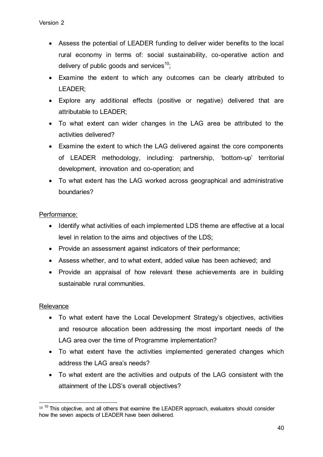- Assess the potential of LEADER funding to deliver wider benefits to the local rural economy in terms of: social sustainability, co-operative action and delivery of public goods and services<sup>10</sup>:
- Examine the extent to which any outcomes can be clearly attributed to LEADER;
- Explore any additional effects (positive or negative) delivered that are attributable to LEADER;
- To what extent can wider changes in the LAG area be attributed to the activities delivered?
- Examine the extent to which the LAG delivered against the core components of LEADER methodology, including: partnership, 'bottom-up' territorial development, innovation and co-operation; and
- To what extent has the LAG worked across geographical and administrative boundaries?

# Performance:

- Identify what activities of each implemented LDS theme are effective at a local level in relation to the aims and objectives of the LDS;
- Provide an assessment against indicators of their performance;
- Assess whether, and to what extent, added value has been achieved; and
- Provide an appraisal of how relevant these achievements are in building sustainable rural communities.

#### **Relevance**

- To what extent have the Local Development Strategy's objectives, activities and resource allocation been addressing the most important needs of the LAG area over the time of Programme implementation?
- To what extent have the activities implemented generated changes which address the LAG area's needs?
- To what extent are the activities and outputs of the LAG consistent with the attainment of the LDS's overall objectives?

 $\overline{\phantom{a}}$  $10^{-10}$  This objective, and all others that examine the LEADER approach, evaluators should consider how the seven aspects of LEADER have been delivered.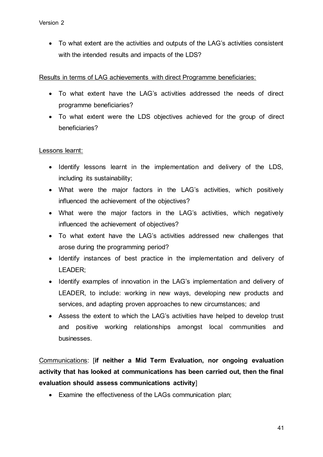To what extent are the activities and outputs of the LAG's activities consistent with the intended results and impacts of the LDS?

# Results in terms of LAG achievements with direct Programme beneficiaries:

- To what extent have the LAG's activities addressed the needs of direct programme beneficiaries?
- To what extent were the LDS objectives achieved for the group of direct beneficiaries?

# Lessons learnt:

- Identify lessons learnt in the implementation and delivery of the LDS, including its sustainability;
- What were the major factors in the LAG's activities, which positively influenced the achievement of the objectives?
- What were the major factors in the LAG's activities, which negatively influenced the achievement of objectives?
- To what extent have the LAG's activities addressed new challenges that arose during the programming period?
- Identify instances of best practice in the implementation and delivery of LEADER;
- Identify examples of innovation in the LAG's implementation and delivery of LEADER, to include: working in new ways, developing new products and services, and adapting proven approaches to new circumstances; and
- Assess the extent to which the LAG's activities have helped to develop trust and positive working relationships amongst local communities and businesses.

Communications: [**if neither a Mid Term Evaluation, nor ongoing evaluation activity that has looked at communications has been carried out, then the final evaluation should assess communications activity**]

Examine the effectiveness of the LAGs communication plan;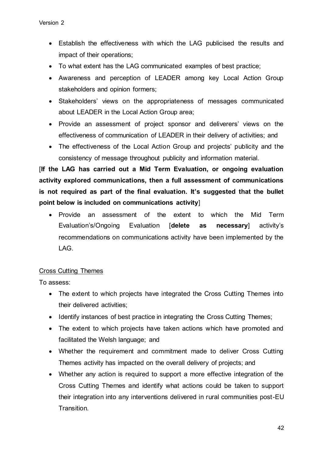- Establish the effectiveness with which the LAG publicised the results and impact of their operations;
- To what extent has the LAG communicated examples of best practice;
- Awareness and perception of LEADER among key Local Action Group stakeholders and opinion formers;
- Stakeholders' views on the appropriateness of messages communicated about LEADER in the Local Action Group area;
- Provide an assessment of project sponsor and deliverers' views on the effectiveness of communication of LEADER in their delivery of activities; and
- The effectiveness of the Local Action Group and projects' publicity and the consistency of message throughout publicity and information material.

[**If the LAG has carried out a Mid Term Evaluation, or ongoing evaluation activity explored communications, then a full assessment of communications is not required as part of the final evaluation. It's suggested that the bullet point below is included on communications activity**]

 Provide an assessment of the extent to which the Mid Term Evaluation's/Ongoing Evaluation [**delete as necessary**] activity's recommendations on communications activity have been implemented by the LAG.

# Cross Cutting Themes

To assess:

- The extent to which projects have integrated the Cross Cutting Themes into their delivered activities;
- Identify instances of best practice in integrating the Cross Cutting Themes;
- The extent to which projects have taken actions which have promoted and facilitated the Welsh language; and
- Whether the requirement and commitment made to deliver Cross Cutting Themes activity has impacted on the overall delivery of projects; and
- Whether any action is required to support a more effective integration of the Cross Cutting Themes and identify what actions could be taken to support their integration into any interventions delivered in rural communities post-EU Transition.